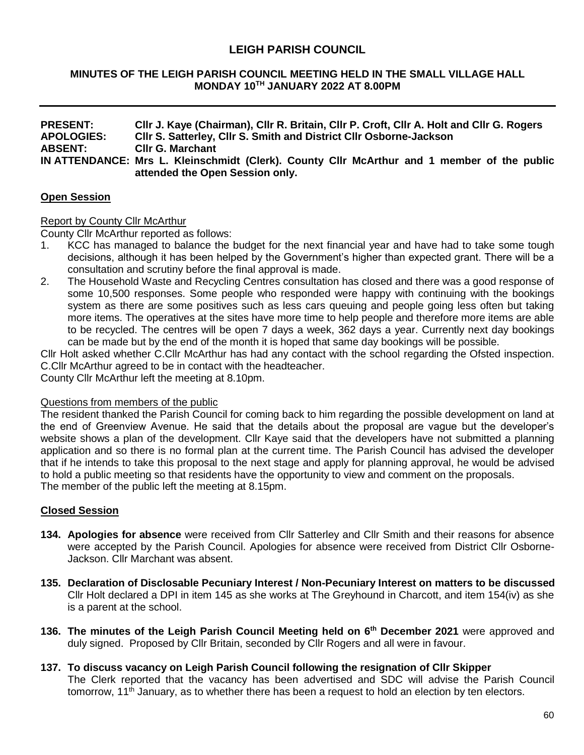# **LEIGH PARISH COUNCIL**

### **MINUTES OF THE LEIGH PARISH COUNCIL MEETING HELD IN THE SMALL VILLAGE HALL MONDAY 10TH JANUARY 2022 AT 8.00PM**

| <b>PRESENT:</b>   | CIIr J. Kaye (Chairman), CIIr R. Britain, CIIr P. Croft, CIIr A. Holt and CIIr G. Rogers    |  |  |  |  |
|-------------------|---------------------------------------------------------------------------------------------|--|--|--|--|
| <b>APOLOGIES:</b> | CIIr S. Satterley, CIIr S. Smith and District CIIr Osborne-Jackson                          |  |  |  |  |
| <b>ABSENT:</b>    | <b>CIIr G. Marchant</b>                                                                     |  |  |  |  |
|                   | IN ATTENDANCE: Mrs L. Kleinschmidt (Clerk). County Cllr McArthur and 1 member of the public |  |  |  |  |
|                   | attended the Open Session only.                                                             |  |  |  |  |

### **Open Session**

### Report by County Cllr McArthur

County Cllr McArthur reported as follows:

- 1. KCC has managed to balance the budget for the next financial year and have had to take some tough decisions, although it has been helped by the Government's higher than expected grant. There will be a consultation and scrutiny before the final approval is made.
- 2. The Household Waste and Recycling Centres consultation has closed and there was a good response of some 10,500 responses. Some people who responded were happy with continuing with the bookings system as there are some positives such as less cars queuing and people going less often but taking more items. The operatives at the sites have more time to help people and therefore more items are able to be recycled. The centres will be open 7 days a week, 362 days a year. Currently next day bookings can be made but by the end of the month it is hoped that same day bookings will be possible.

Cllr Holt asked whether C.Cllr McArthur has had any contact with the school regarding the Ofsted inspection. C.Cllr McArthur agreed to be in contact with the headteacher.

County Cllr McArthur left the meeting at 8.10pm.

#### Questions from members of the public

The resident thanked the Parish Council for coming back to him regarding the possible development on land at the end of Greenview Avenue. He said that the details about the proposal are vague but the developer's website shows a plan of the development. Cllr Kaye said that the developers have not submitted a planning application and so there is no formal plan at the current time. The Parish Council has advised the developer that if he intends to take this proposal to the next stage and apply for planning approval, he would be advised to hold a public meeting so that residents have the opportunity to view and comment on the proposals. The member of the public left the meeting at 8.15pm.

### **Closed Session**

- **134. Apologies for absence** were received from Cllr Satterley and Cllr Smith and their reasons for absence were accepted by the Parish Council. Apologies for absence were received from District Cllr Osborne-Jackson. Cllr Marchant was absent.
- **135. Declaration of Disclosable Pecuniary Interest / Non-Pecuniary Interest on matters to be discussed** Cllr Holt declared a DPI in item 145 as she works at The Greyhound in Charcott, and item 154(iv) as she is a parent at the school.
- **136. The minutes of the Leigh Parish Council Meeting held on 6 th December 2021** were approved and duly signed. Proposed by Cllr Britain, seconded by Cllr Rogers and all were in favour.
- **137. To discuss vacancy on Leigh Parish Council following the resignation of Cllr Skipper**

The Clerk reported that the vacancy has been advertised and SDC will advise the Parish Council tomorrow, 11<sup>th</sup> January, as to whether there has been a request to hold an election by ten electors.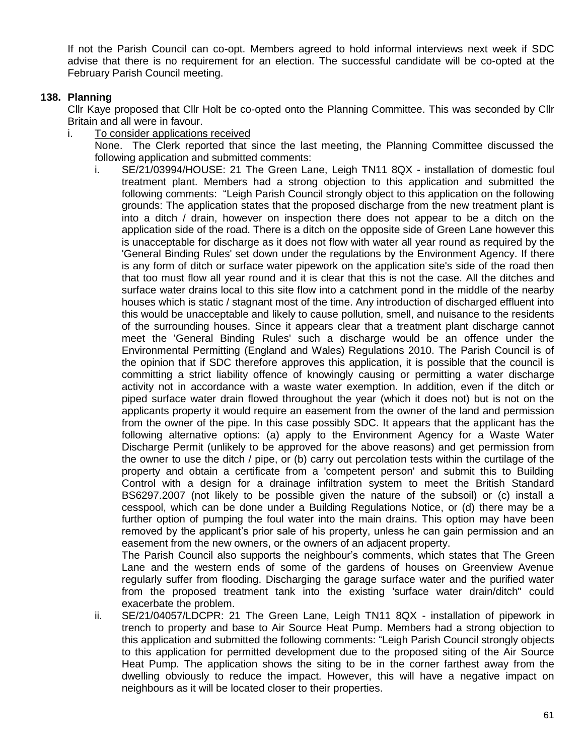If not the Parish Council can co-opt. Members agreed to hold informal interviews next week if SDC advise that there is no requirement for an election. The successful candidate will be co-opted at the February Parish Council meeting.

## **138. Planning**

Cllr Kaye proposed that Cllr Holt be co-opted onto the Planning Committee. This was seconded by Cllr Britain and all were in favour.

i. To consider applications received

None. The Clerk reported that since the last meeting, the Planning Committee discussed the following application and submitted comments:

i. SE/21/03994/HOUSE: 21 The Green Lane, Leigh TN11 8QX - installation of domestic foul treatment plant. Members had a strong objection to this application and submitted the following comments: "Leigh Parish Council strongly object to this application on the following grounds: The application states that the proposed discharge from the new treatment plant is into a ditch / drain, however on inspection there does not appear to be a ditch on the application side of the road. There is a ditch on the opposite side of Green Lane however this is unacceptable for discharge as it does not flow with water all year round as required by the 'General Binding Rules' set down under the regulations by the Environment Agency. If there is any form of ditch or surface water pipework on the application site's side of the road then that too must flow all year round and it is clear that this is not the case. All the ditches and surface water drains local to this site flow into a catchment pond in the middle of the nearby houses which is static / stagnant most of the time. Any introduction of discharged effluent into this would be unacceptable and likely to cause pollution, smell, and nuisance to the residents of the surrounding houses. Since it appears clear that a treatment plant discharge cannot meet the 'General Binding Rules' such a discharge would be an offence under the Environmental Permitting (England and Wales) Regulations 2010. The Parish Council is of the opinion that if SDC therefore approves this application, it is possible that the council is committing a strict liability offence of knowingly causing or permitting a water discharge activity not in accordance with a waste water exemption. In addition, even if the ditch or piped surface water drain flowed throughout the year (which it does not) but is not on the applicants property it would require an easement from the owner of the land and permission from the owner of the pipe. In this case possibly SDC. It appears that the applicant has the following alternative options: (a) apply to the Environment Agency for a Waste Water Discharge Permit (unlikely to be approved for the above reasons) and get permission from the owner to use the ditch / pipe, or (b) carry out percolation tests within the curtilage of the property and obtain a certificate from a 'competent person' and submit this to Building Control with a design for a drainage infiltration system to meet the British Standard BS6297.2007 (not likely to be possible given the nature of the subsoil) or (c) install a cesspool, which can be done under a Building Regulations Notice, or (d) there may be a further option of pumping the foul water into the main drains. This option may have been removed by the applicant's prior sale of his property, unless he can gain permission and an easement from the new owners, or the owners of an adjacent property.

The Parish Council also supports the neighbour's comments, which states that The Green Lane and the western ends of some of the gardens of houses on Greenview Avenue regularly suffer from flooding. Discharging the garage surface water and the purified water from the proposed treatment tank into the existing 'surface water drain/ditch" could exacerbate the problem.

ii. SE/21/04057/LDCPR: 21 The Green Lane, Leigh TN11 8QX - installation of pipework in trench to property and base to Air Source Heat Pump. Members had a strong objection to this application and submitted the following comments: "Leigh Parish Council strongly objects to this application for permitted development due to the proposed siting of the Air Source Heat Pump. The application shows the siting to be in the corner farthest away from the dwelling obviously to reduce the impact. However, this will have a negative impact on neighbours as it will be located closer to their properties.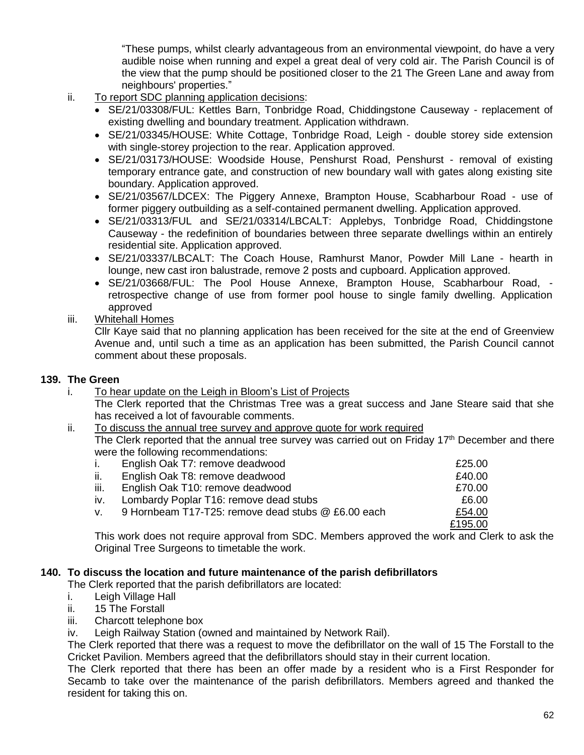"These pumps, whilst clearly advantageous from an environmental viewpoint, do have a very audible noise when running and expel a great deal of very cold air. The Parish Council is of the view that the pump should be positioned closer to the 21 The Green Lane and away from neighbours' properties."

- ii. To report SDC planning application decisions:
	- SE/21/03308/FUL: Kettles Barn, Tonbridge Road, Chiddingstone Causeway replacement of existing dwelling and boundary treatment. Application withdrawn.
	- SE/21/03345/HOUSE: White Cottage, Tonbridge Road, Leigh double storey side extension with single-storey projection to the rear. Application approved.
	- SE/21/03173/HOUSE: Woodside House, Penshurst Road, Penshurst removal of existing temporary entrance gate, and construction of new boundary wall with gates along existing site boundary. Application approved.
	- SE/21/03567/LDCEX: The Piggery Annexe, Brampton House, Scabharbour Road use of former piggery outbuilding as a self-contained permanent dwelling. Application approved.
	- SE/21/03313/FUL and SE/21/03314/LBCALT: Applebys, Tonbridge Road, Chiddingstone Causeway - the redefinition of boundaries between three separate dwellings within an entirely residential site. Application approved.
	- SE/21/03337/LBCALT: The Coach House, Ramhurst Manor, Powder Mill Lane hearth in lounge, new cast iron balustrade, remove 2 posts and cupboard. Application approved.
	- SE/21/03668/FUL: The Pool House Annexe, Brampton House, Scabharbour Road, retrospective change of use from former pool house to single family dwelling. Application approved
- iii. Whitehall Homes

Cllr Kaye said that no planning application has been received for the site at the end of Greenview Avenue and, until such a time as an application has been submitted, the Parish Council cannot comment about these proposals.

## **139. The Green**

- i. To hear update on the Leigh in Bloom's List of Projects The Clerk reported that the Christmas Tree was a great success and Jane Steare said that she has received a lot of favourable comments.
- ii. To discuss the annual tree survey and approve quote for work required

The Clerk reported that the annual tree survey was carried out on Friday 17<sup>th</sup> December and there were the following recommendations:

| Ι.   | English Oak T7: remove deadwood                    | £25.00  |
|------|----------------------------------------------------|---------|
| ii.  | English Oak T8: remove deadwood                    | £40.00  |
| iii. | English Oak T10: remove deadwood                   | £70.00  |
| iv.  | Lombardy Poplar T16: remove dead stubs             | £6.00   |
| V.   | 9 Hornbeam T17-T25: remove dead stubs @ £6.00 each | £54.00  |
|      |                                                    | £195.00 |

This work does not require approval from SDC. Members approved the work and Clerk to ask the Original Tree Surgeons to timetable the work.

### **140. To discuss the location and future maintenance of the parish defibrillators**

The Clerk reported that the parish defibrillators are located:

- i. Leigh Village Hall
- ii. 15 The Forstall
- iii. Charcott telephone box
- iv. Leigh Railway Station (owned and maintained by Network Rail).

The Clerk reported that there was a request to move the defibrillator on the wall of 15 The Forstall to the Cricket Pavilion. Members agreed that the defibrillators should stay in their current location.

The Clerk reported that there has been an offer made by a resident who is a First Responder for Secamb to take over the maintenance of the parish defibrillators. Members agreed and thanked the resident for taking this on.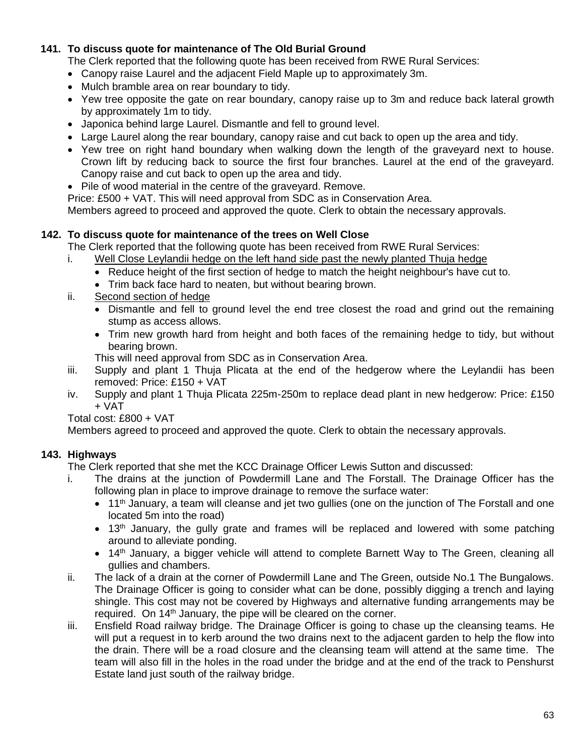## **141. To discuss quote for maintenance of The Old Burial Ground**

The Clerk reported that the following quote has been received from RWE Rural Services:

- Canopy raise Laurel and the adjacent Field Maple up to approximately 3m.
- Mulch bramble area on rear boundary to tidy.
- Yew tree opposite the gate on rear boundary, canopy raise up to 3m and reduce back lateral growth by approximately 1m to tidy.
- Japonica behind large Laurel. Dismantle and fell to ground level.
- Large Laurel along the rear boundary, canopy raise and cut back to open up the area and tidy.
- Yew tree on right hand boundary when walking down the length of the graveyard next to house. Crown lift by reducing back to source the first four branches. Laurel at the end of the graveyard. Canopy raise and cut back to open up the area and tidy.
- Pile of wood material in the centre of the graveyard. Remove.

Price: £500 + VAT. This will need approval from SDC as in Conservation Area.

Members agreed to proceed and approved the quote. Clerk to obtain the necessary approvals.

## **142. To discuss quote for maintenance of the trees on Well Close**

The Clerk reported that the following quote has been received from RWE Rural Services:

- i. Well Close Leylandii hedge on the left hand side past the newly planted Thuja hedge
	- Reduce height of the first section of hedge to match the height neighbour's have cut to.
	- Trim back face hard to neaten, but without bearing brown.
- ii. Second section of hedge
	- Dismantle and fell to ground level the end tree closest the road and grind out the remaining stump as access allows.
	- Trim new growth hard from height and both faces of the remaining hedge to tidy, but without bearing brown.
	- This will need approval from SDC as in Conservation Area.
- iii. Supply and plant 1 Thuja Plicata at the end of the hedgerow where the Leylandii has been removed: Price: £150 + VAT
- iv. Supply and plant 1 Thuja Plicata 225m-250m to replace dead plant in new hedgerow: Price: £150 + VAT

Total cost: £800 + VAT

Members agreed to proceed and approved the quote. Clerk to obtain the necessary approvals.

## **143. Highways**

The Clerk reported that she met the KCC Drainage Officer Lewis Sutton and discussed:

- i. The drains at the junction of Powdermill Lane and The Forstall. The Drainage Officer has the following plan in place to improve drainage to remove the surface water:
	- $\bullet$  11<sup>th</sup> January, a team will cleanse and jet two gullies (one on the junction of The Forstall and one located 5m into the road)
	- $\bullet$  13<sup>th</sup> January, the gully grate and frames will be replaced and lowered with some patching around to alleviate ponding.
	- $\bullet$  14<sup>th</sup> January, a bigger vehicle will attend to complete Barnett Way to The Green, cleaning all gullies and chambers.
- ii. The lack of a drain at the corner of Powdermill Lane and The Green, outside No.1 The Bungalows. The Drainage Officer is going to consider what can be done, possibly digging a trench and laying shingle. This cost may not be covered by Highways and alternative funding arrangements may be required. On 14<sup>th</sup> January, the pipe will be cleared on the corner.
- iii. Ensfield Road railway bridge. The Drainage Officer is going to chase up the cleansing teams. He will put a request in to kerb around the two drains next to the adjacent garden to help the flow into the drain. There will be a road closure and the cleansing team will attend at the same time. The team will also fill in the holes in the road under the bridge and at the end of the track to Penshurst Estate land just south of the railway bridge.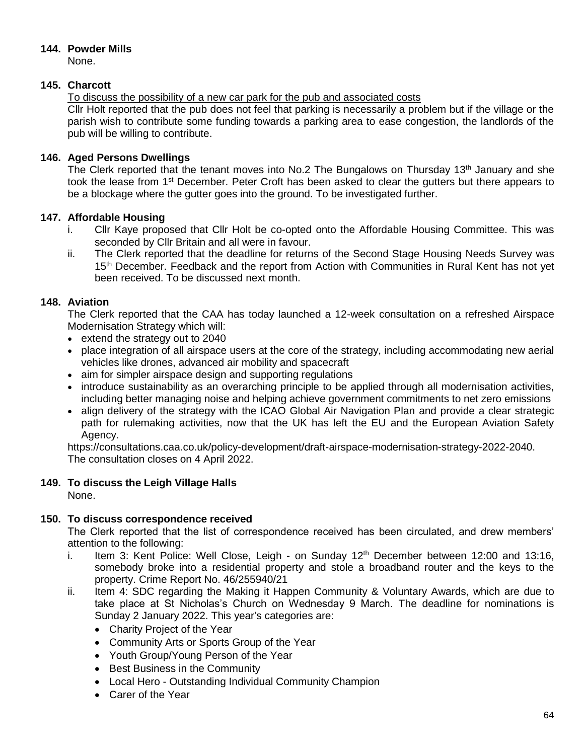# **144. Powder Mills**

None.

# **145. Charcott**

To discuss the possibility of a new car park for the pub and associated costs

Cllr Holt reported that the pub does not feel that parking is necessarily a problem but if the village or the parish wish to contribute some funding towards a parking area to ease congestion, the landlords of the pub will be willing to contribute.

# **146. Aged Persons Dwellings**

The Clerk reported that the tenant moves into No.2 The Bungalows on Thursday 13<sup>th</sup> January and she took the lease from 1st December. Peter Croft has been asked to clear the gutters but there appears to be a blockage where the gutter goes into the ground. To be investigated further.

## **147. Affordable Housing**

- i. Cllr Kaye proposed that Cllr Holt be co-opted onto the Affordable Housing Committee. This was seconded by Cllr Britain and all were in favour.
- ii. The Clerk reported that the deadline for returns of the Second Stage Housing Needs Survey was 15<sup>th</sup> December. Feedback and the report from Action with Communities in Rural Kent has not yet been received. To be discussed next month.

# **148. Aviation**

The Clerk reported that the CAA has today launched a 12-week consultation on a refreshed Airspace Modernisation Strategy which will:

- extend the strategy out to 2040
- place integration of all airspace users at the core of the strategy, including accommodating new aerial vehicles like drones, advanced air mobility and spacecraft
- aim for simpler airspace design and supporting regulations
- introduce sustainability as an overarching principle to be applied through all modernisation activities, including better managing noise and helping achieve government commitments to net zero emissions
- align delivery of the strategy with the ICAO Global Air Navigation Plan and provide a clear strategic path for rulemaking activities, now that the UK has left the EU and the European Aviation Safety Agency.

https://consultations.caa.co.uk/policy-development/draft-airspace-modernisation-strategy-2022-2040. The consultation closes on 4 April 2022.

# **149. To discuss the Leigh Village Halls**

None.

## **150. To discuss correspondence received**

The Clerk reported that the list of correspondence received has been circulated, and drew members' attention to the following:

- i. Item 3: Kent Police: Well Close, Leigh on Sunday  $12<sup>th</sup>$  December between 12:00 and 13:16, somebody broke into a residential property and stole a broadband router and the keys to the property. Crime Report No. 46/255940/21
- ii. Item 4: SDC regarding the Making it Happen Community & Voluntary Awards, which are due to take place at St Nicholas's Church on Wednesday 9 March. The deadline for nominations is Sunday 2 January 2022. This year's categories are:
	- Charity Project of the Year
	- Community Arts or Sports Group of the Year
	- Youth Group/Young Person of the Year
	- Best Business in the Community
	- Local Hero Outstanding Individual Community Champion
	- Carer of the Year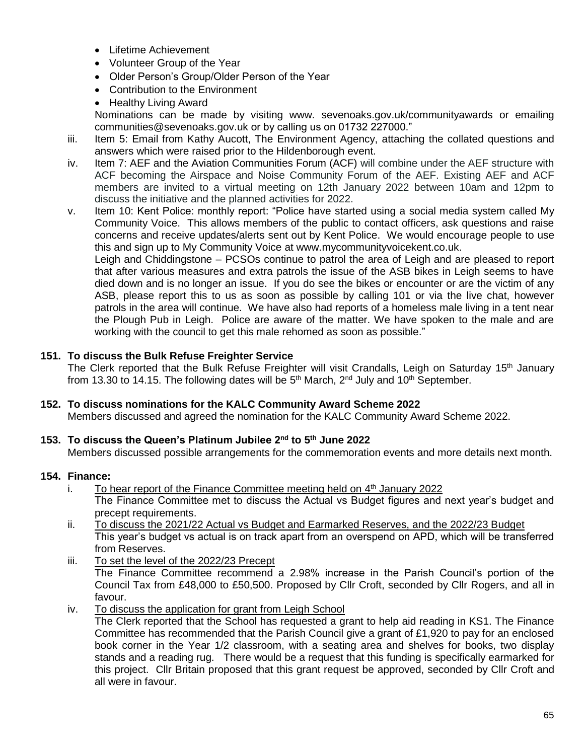- Lifetime Achievement
- Volunteer Group of the Year
- Older Person's Group/Older Person of the Year
- Contribution to the Environment
- Healthy Living Award

Nominations can be made by visiting www. sevenoaks.gov.uk/communityawards or emailing communities@sevenoaks.gov.uk or by calling us on 01732 227000."

- iii. Item 5: Email from Kathy Aucott, The Environment Agency, attaching the collated questions and answers which were raised prior to the Hildenborough event.
- iv. Item 7: AEF and the Aviation Communities Forum (ACF) will combine under the AEF structure with ACF becoming the Airspace and Noise Community Forum of the AEF. Existing AEF and ACF members are invited to a virtual meeting on 12th January 2022 between 10am and 12pm to discuss the initiative and the planned activities for 2022.
- v. Item 10: Kent Police: monthly report: "Police have started using a social media system called My Community Voice. This allows members of the public to contact officers, ask questions and raise concerns and receive updates/alerts sent out by Kent Police. We would encourage people to use this and sign up to My Community Voice at www.mycommunityvoicekent.co.uk.

Leigh and Chiddingstone – PCSOs continue to patrol the area of Leigh and are pleased to report that after various measures and extra patrols the issue of the ASB bikes in Leigh seems to have died down and is no longer an issue. If you do see the bikes or encounter or are the victim of any ASB, please report this to us as soon as possible by calling 101 or via the live chat, however patrols in the area will continue. We have also had reports of a homeless male living in a tent near the Plough Pub in Leigh. Police are aware of the matter. We have spoken to the male and are working with the council to get this male rehomed as soon as possible."

## **151. To discuss the Bulk Refuse Freighter Service**

The Clerk reported that the Bulk Refuse Freighter will visit Crandalls, Leigh on Saturday 15<sup>th</sup> January from 13.30 to 14.15. The following dates will be  $5<sup>th</sup>$  March, 2<sup>nd</sup> July and 10<sup>th</sup> September.

## **152. To discuss nominations for the KALC Community Award Scheme 2022**

Members discussed and agreed the nomination for the KALC Community Award Scheme 2022.

# **153. To discuss the Queen's Platinum Jubilee 2nd to 5th June 2022**

Members discussed possible arrangements for the commemoration events and more details next month.

### **154. Finance:**

- i. To hear report of the Finance Committee meeting held on 4<sup>th</sup> January 2022 The Finance Committee met to discuss the Actual vs Budget figures and next year's budget and precept requirements.
- ii. To discuss the 2021/22 Actual vs Budget and Earmarked Reserves, and the 2022/23 Budget This year's budget vs actual is on track apart from an overspend on APD, which will be transferred from Reserves.
- iii. To set the level of the 2022/23 Precept The Finance Committee recommend a 2.98% increase in the Parish Council's portion of the Council Tax from £48,000 to £50,500. Proposed by Cllr Croft, seconded by Cllr Rogers, and all in favour.
- iv. To discuss the application for grant from Leigh School

The Clerk reported that the School has requested a grant to help aid reading in KS1. The Finance Committee has recommended that the Parish Council give a grant of £1,920 to pay for an enclosed book corner in the Year 1/2 classroom, with a seating area and shelves for books, two display stands and a reading rug. There would be a request that this funding is specifically earmarked for this project. Cllr Britain proposed that this grant request be approved, seconded by Cllr Croft and all were in favour.